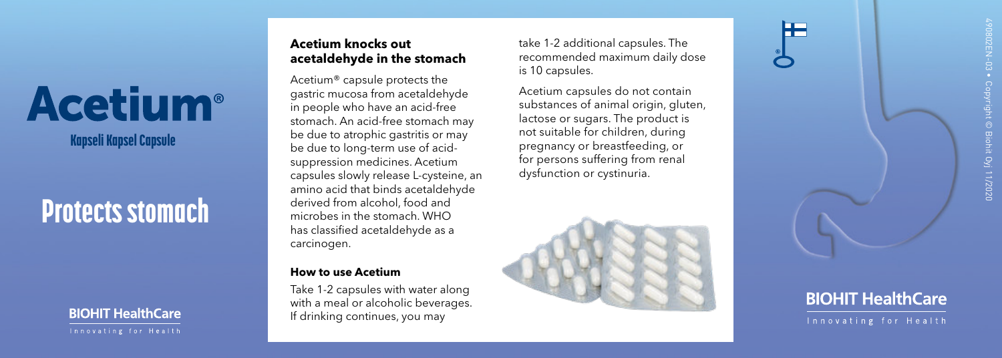# **Acetium**<sup>®</sup>

Kapseli Kapsel Capsule

## Protects stomach

### **BIOHIT HealthCare**

#### **Acetium knocks out acetaldehyde in the stomach**

Acetium® capsule protects the gastric mucosa from acetaldehyde in people who have an acid-free stomach. An acid-free stomach may be due to atrophic gastritis or may be due to long-term use of acidsuppression medicines. Acetium capsules slowly release L-cysteine, an amino acid that binds acetaldehyde derived from alcohol, food and microbes in the stomach. WHO has classified acetaldehyde as a carcinogen.

#### **How to use Acetium**

Take 1-2 capsules with water along with a meal or alcoholic beverages. If drinking continues, you may

take 1-2 additional capsules. The recommended maximum daily dose is 10 capsules.

Acetium capsules do not contain substances of animal origin, gluten, lactose or sugars. The product is not suitable for children, during pregnancy or breastfeeding, or for persons suffering from renal dysfunction or cystinuria.







Innovating for Health